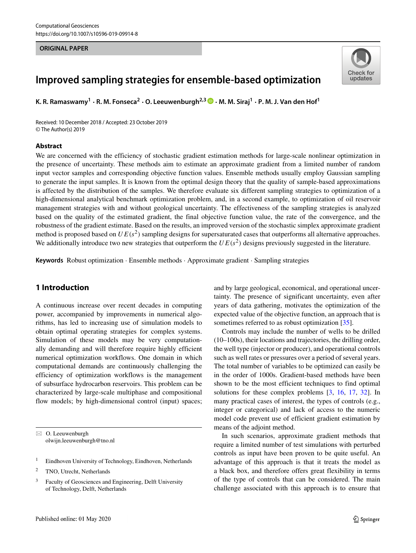#### **ORIGINAL PAPER**



# **Improved sampling strategies for ensemble-based optimization**

**K. R. Ramaswamy<sup>1</sup> · R. M. Fonseca<sup>2</sup> · O. Leeuwenburgh2,3 · M. M. Siraj<sup>1</sup> · P. M. J. Van den Hof1**

Received: 10 December 2018 / Accepted: 23 October 2019 © The Author(s) 2019

#### **Abstract**

We are concerned with the efficiency of stochastic gradient estimation methods for large-scale nonlinear optimization in the presence of uncertainty. These methods aim to estimate an approximate gradient from a limited number of random input vector samples and corresponding objective function values. Ensemble methods usually employ Gaussian sampling to generate the input samples. It is known from the optimal design theory that the quality of sample-based approximations is affected by the distribution of the samples. We therefore evaluate six different sampling strategies to optimization of a high-dimensional analytical benchmark optimization problem, and, in a second example, to optimization of oil reservoir management strategies with and without geological uncertainty. The effectiveness of the sampling strategies is analyzed based on the quality of the estimated gradient, the final objective function value, the rate of the convergence, and the robustness of the gradient estimate. Based on the results, an improved version of the stochastic simplex approximate gradient method is proposed based on  $UE(s^2)$  sampling designs for supersaturated cases that outperforms all alternative approaches. We additionally introduce two new strategies that outperform the  $UE(s^2)$  designs previously suggested in the literature.

**Keywords** Robust optimization · Ensemble methods · Approximate gradient · Sampling strategies

# **1 Introduction**

A continuous increase over recent decades in computing power, accompanied by improvements in numerical algorithms, has led to increasing use of simulation models to obtain optimal operating strategies for complex systems. Simulation of these models may be very computationally demanding and will therefore require highly efficient numerical optimization workflows. One domain in which computational demands are continuously challenging the efficiency of optimization workflows is the management of subsurface hydrocarbon reservoirs. This problem can be characterized by large-scale multiphase and compositional flow models; by high-dimensional control (input) spaces;

- <sup>1</sup> Eindhoven University of Technology, Eindhoven, Netherlands
- <sup>2</sup> TNO, Utrecht, Netherlands

and by large geological, economical, and operational uncertainty. The presence of significant uncertainty, even after years of data gathering, motivates the optimization of the expected value of the objective function, an approach that is sometimes referred to as robust optimization [\[35\]](#page-12-0).

Controls may include the number of wells to be drilled (10–100s), their locations and trajectories, the drilling order, the well type (injector or producer), and operational controls such as well rates or pressures over a period of several years. The total number of variables to be optimized can easily be in the order of 1000s. Gradient-based methods have been shown to be the most efficient techniques to find optimal solutions for these complex problems [\[3,](#page-11-0) [16,](#page-11-1) [17,](#page-11-2) [32\]](#page-12-1). In many practical cases of interest, the types of controls (e.g., integer or categorical) and lack of access to the numeric model code prevent use of efficient gradient estimation by means of the adjoint method.

In such scenarios, approximate gradient methods that require a limited number of test simulations with perturbed controls as input have been proven to be quite useful. An advantage of this approach is that it treats the model as a black box, and therefore offers great flexibility in terms of the type of controls that can be considered. The main challenge associated with this approach is to ensure that

<sup>-</sup> O. Leeuwenburgh [olwijn.leeuwenburgh@tno.nl](mailto: olwijn.leeuwenburgh@tno.nl)

<sup>3</sup> Faculty of Geosciences and Engineering, Delft University of Technology, Delft, Netherlands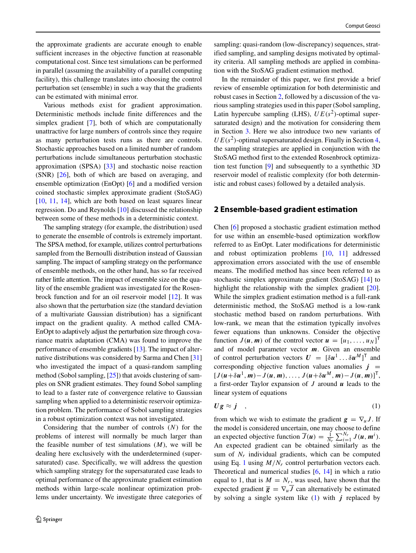the approximate gradients are accurate enough to enable sufficient increases in the objective function at reasonable computational cost. Since test simulations can be performed in parallel (assuming the availability of a parallel computing facility), this challenge translates into choosing the control perturbation set (ensemble) in such a way that the gradients can be estimated with minimal error.

Various methods exist for gradient approximation. Deterministic methods include finite differences and the simplex gradient [\[7\]](#page-11-3), both of which are computationally unattractive for large numbers of controls since they require as many perturbation tests runs as there are controls. Stochastic approaches based on a limited number of random perturbations include simultaneous perturbation stochastic approximation (SPSA) [\[33\]](#page-12-2) and stochastic noise reaction (SNR) [\[26\]](#page-11-4), both of which are based on averaging, and ensemble optimization (EnOpt) [\[6\]](#page-11-5) and a modified version coined stochastic simplex approximate gradient (StoSAG) [\[10,](#page-11-6) [11,](#page-11-7) [14\]](#page-11-8), which are both based on least squares linear regression. Do and Reynolds [\[10\]](#page-11-6) discussed the relationship between some of these methods in a deterministic context.

The sampling strategy (for example, the distribution) used to generate the ensemble of controls is extremely important. The SPSA method, for example, utilizes control perturbations sampled from the Bernoulli distribution instead of Gaussian sampling. The impact of sampling strategy on the performance of ensemble methods, on the other hand, has so far received rather little attention. The impact of ensemble size on the quality of the ensemble gradient was investigated for the Rosenbrock function and for an oil reservoir model [\[12\]](#page-11-9). It was also shown that the perturbation size (the standard deviation of a multivariate Gaussian distribution) has a significant impact on the gradient quality. A method called CMA-EnOpt to adaptively adjust the perturbation size through covariance matrix adaptation (CMA) was found to improve the performance of ensemble gradients [\[13\]](#page-11-10). The impact of alternative distributions was considered by Sarma and Chen [\[31\]](#page-12-3) who investigated the impact of a quasi-random sampling method (Sobol sampling,  $[25]$ ) that avoids clustering of samples on SNR gradient estimates. They found Sobol sampling to lead to a faster rate of convergence relative to Gaussian sampling when applied to a deterministic reservoir optimization problem. The performance of Sobol sampling strategies in a robust optimization context was not investigated.

Considering that the number of controls (*N*) for the problems of interest will normally be much larger than the feasible number of test simulations (*M*), we will be dealing here exclusively with the underdetermined (supersaturated) case. Specifically, we will address the question which sampling strategy for the supersaturated case leads to optimal performance of the approximate gradient estimation methods within large-scale nonlinear optimization problems under uncertainty. We investigate three categories of sampling: quasi-random (low-discrepancy) sequences, stratified sampling, and sampling designs motivated by optimality criteria. All sampling methods are applied in combination with the StoSAG gradient estimation method.

In the remainder of this paper, we first provide a brief review of ensemble optimization for both deterministic and robust cases in Section [2,](#page-1-0) followed by a discussion of the various sampling strategies used in this paper (Sobol sampling, Latin hypercube sampling (LHS),  $UE(s^2)$ -optimal supersaturated design) and the motivation for considering them in Section [3.](#page-2-0) Here we also introduce two new variants of  $UE(s^2)$ -optimal supersaturated design. Finally in Section [4,](#page-5-0) the sampling strategies are applied in conjunction with the StoSAG method first to the extended Rosenbrock optimization test function [\[9\]](#page-11-12) and subsequently to a synthethic 3D reservoir model of realistic complexity (for both deterministic and robust cases) followed by a detailed analysis.

## <span id="page-1-0"></span>**2 Ensemble-based gradient estimation**

Chen [\[6\]](#page-11-5) proposed a stochastic gradient estimation method for use within an ensemble-based optimization workflow referred to as EnOpt. Later modifications for deterministic and robust optimization problems [\[10,](#page-11-6) [11\]](#page-11-7) addressed approximation errors associated with the use of ensemble means. The modified method has since been referred to as stochastic simplex approximate gradient (StoSAG) [\[14\]](#page-11-8) to highlight the relationship with the simplex gradient [\[20\]](#page-11-13). While the simplex gradient estimation method is a full-rank deterministic method, the StoSAG method is a low-rank stochastic method based on random perturbations. With low-rank, we mean that the estimation typically involves fewer equations than unknowns. Consider the objective function  $J(\mathbf{u}, \mathbf{m})$  of the control vector  $\mathbf{u} = [u_1, \dots, u_N]^\mathsf{T}$ and of model parameter vector *m*. Given an ensemble of control perturbation vectors  $U = [\delta u^1 \dots \delta u^M]^T$  and corresponding objective function values anomalies  $j =$  $[J(u+\delta u^1,m)-J(u,m),\ldots,J(u+\delta u^M,m)-J(u,m)]^T$ a first-order Taylor expansion of *J* around *u* leads to the linear system of equations

<span id="page-1-1"></span>
$$
Ug \approx j \quad , \tag{1}
$$

from which we wish to estimate the gradient  $g = \nabla_u J$ . If the model is considered uncertain, one may choose to define an expected objective function  $\overline{J}(u) = \frac{1}{N_r} \sum_{i=1}^{N_r} J(u, m^i)$ . An expected gradient can be obtained similarly as the sum of  $N_r$  individual gradients, which can be computed using Eq. [1](#page-1-1) using  $M/N_r$  control perturbation vectors each. Theoretical and numerical studies [\[6,](#page-11-5) [14\]](#page-11-8) in which a ratio equal to 1, that is  $M = N_r$ , was used, have shown that the expected gradient  $\overline{g} = \nabla_u \overline{J}$  can alternatively be estimated by solving a single system like [\(1\)](#page-1-1) with *j* replaced by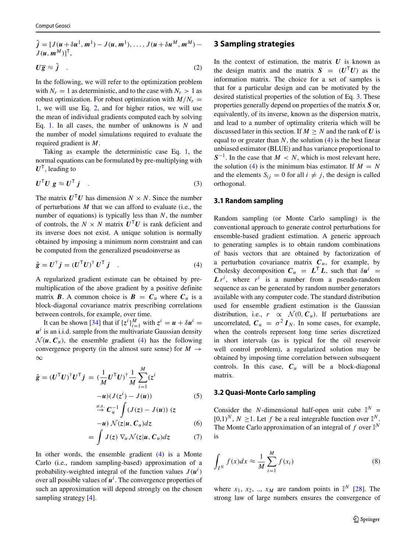<span id="page-2-1"></span> $\tilde{j} = [J(u + \delta u^1, m^1) - J(u, m^1), \dots, J(u + \delta u^M, m^M) J(u, m^M)]^{\mathsf{T}},$ 

$$
U\overline{g} \approx \tilde{j} \quad . \tag{2}
$$

In the following, we will refer to the optimization problem with  $N_r = 1$  as deterministic, and to the case with  $N_r > 1$  as robust optimization. For robust optimization with  $M/N_r =$ 1, we will use Eq. [2,](#page-2-1) and for higher ratios, we will use the mean of individual gradients computed each by solving Eq. [1.](#page-1-1) In all cases, the number of unknowns is *N* and the number of model simulations required to evaluate the required gradient is *M*.

Taking as example the deterministic case Eq. [1,](#page-1-1) the normal equations can be formulated by pre-multiplying with  $U^{\mathsf{T}}$ , leading to

<span id="page-2-3"></span>
$$
U^{\mathsf{T}}U g \approx U^{\mathsf{T}} j \quad . \tag{3}
$$

The matrix  $U^{\mathsf{T}}U$  has dimension  $N \times N$ . Since the number of perturbations *M* that we can afford to evaluate (i.e., the number of equations) is typically less than *N*, the number of controls, the  $N \times N$  matrix  $U^{T}U$  is rank deficient and its inverse does not exist. A unique solution is normally obtained by imposing a minimum norm constraint and can be computed from the generalized pseudoinverse as

$$
\hat{g} = U^{\dagger} j = (U^{\mathsf{T}} U)^{\dagger} U^{\mathsf{T}} j \quad . \tag{4}
$$

A regularized gradient estimate can be obtained by premultiplication of the above gradient by a positive definite matrix *B*. A common choice is *B* =  $C_u$  where  $C_u$  is a block-diagonal covariance matrix prescribing correlations between controls, for example, over time.

It can be shown [\[34\]](#page-12-4) that if  $\{z^i\}_{i=1}^M$  with  $z^i = u + \delta u^i =$  $u^i$  is an i.i.d. sample from the multivariate Gaussian density  $\mathcal{N}(u, C_u)$ , the ensemble gradient [\(4\)](#page-2-2) has the following convergence property (in the almost sure sense) for  $M \rightarrow$ ∞

$$
\hat{\mathbf{g}} = (U^{\mathsf{T}} U)^{\dagger} U^{\mathsf{T}} \mathbf{j} = (\frac{1}{M} U^{\mathsf{T}} U)^{\dagger} \frac{1}{M} \sum_{i=1}^{M} (z^{i} - u)(J(z^{i}) - J(u))
$$
(5)  

$$
= \frac{a.s.}{M} C^{-1} \int (J(z) - J(u)) (z^{i}) d\mathbf{x}
$$

$$
\stackrel{a.s.}{\rightarrow} C_u^{-1} \int (J(z) - J(u)) (z
$$
  

$$
-u) \mathcal{N}(z|u, C_u) dz
$$
 (6)

$$
= \int J(z) \nabla_u \mathcal{N}(z | u, C_u) dz \tag{7}
$$

In other words, the ensemble gradient [\(4\)](#page-2-2) is a Monte Carlo (i.e., random sampling-based) approximation of a probability-weighted integral of the function values  $J(u^i)$ over all possible values of  $u^i$ . The convergence properties of such an approximation will depend strongly on the chosen sampling strategy [\[4\]](#page-11-14).

## <span id="page-2-0"></span>**3 Sampling strategies**

In the context of estimation, the matrix  $U$  is known as the design matrix and the matrix  $S = (U^{\mathsf{T}} U)$  as the information matrix. The choice for a set of samples is that for a particular design and can be motivated by the desired statistical properties of the solution of Eq. [3.](#page-2-3) These properties generally depend on properties of the matrix *S* or, equivalently, of its inverse, known as the dispersion matrix, and lead to a number of optimality criteria which will be discussed later in this section. If  $M \geq N$  and the rank of *U* is equal to or greater than  $N$ , the solution  $(4)$  is the best linear unbiased estimator (BLUE) and has variance proportional to  $S^{-1}$ . In the case that *M* < *N*, which is most relevant here, the solution [\(4\)](#page-2-2) is the minimum bias estimator. If  $M = N$ and the elements  $S_{ij} = 0$  for all  $i \neq j$ , the design is called orthogonal.

#### **3.1 Random sampling**

<span id="page-2-2"></span>Random sampling (or Monte Carlo sampling) is the conventional approach to generate control perturbations for ensemble-based gradient estimation. A generic approach to generating samples is to obtain random combinations of basis vectors that are obtained by factorization of a perturbation covariance matrix  $C<sub>u</sub>$ , for example, by Cholesky decomposition  $C_u = L^{\mathsf{T}} L$ , such that  $\delta u^i$  $L r^i$ , where  $r^i$  is a number from a pseudo-random sequence as can be generated by random number generators available with any computer code. The standard distribution used for ensemble gradient estimation is the Gaussian distribution, i.e.,  $r \propto \mathcal{N}(0, C_u)$ . If perturbations are uncorrelated,  $C_u = \sigma^2 I_N$ . In some cases, for example, when the controls represent long time series discretized in short intervals (as is typical for the oil reservoir well control problem), a regularized solution may be obtained by imposing time correlation between subsequent controls. In this case,  $C_u$  will be a block-diagonal matrix.

## **3.2 Quasi-Monte Carlo sampling**

Consider the *N*-dimensional half-open unit cube  $\mathbb{I}^N$  =  $[0,1)^N$ ,  $N > 1$ . Let f be a real integrable function over  $\mathbb{I}^N$ . The Monte Carlo approximation of an integral of  $f$  over  $\mathbb{I}^N$ is

$$
\int_{I^N} f(x)dx \approx \frac{1}{M} \sum_{i=1}^M f(x_i)
$$
\n(8)

where  $x_1$ ,  $x_2$ , ..,  $x_M$  are random points in  $\mathbb{I}^N$  [\[28\]](#page-12-5). The strong law of large numbers ensures the convergence of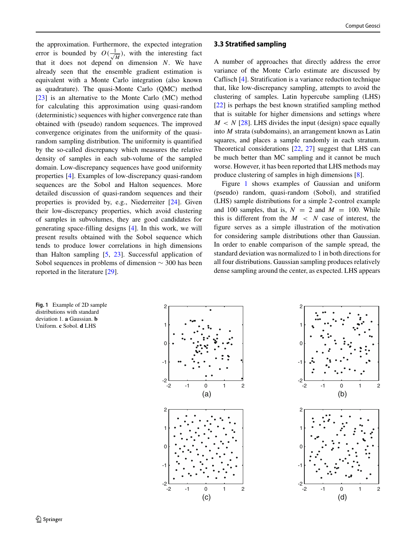the approximation. Furthermore, the expected integration error is bounded by  $O(\frac{1}{\sqrt{M}})$ , with the interesting fact that it does not depend on dimension *N*. We have already seen that the ensemble gradient estimation is equivalent with a Monte Carlo integration (also known as quadrature). The quasi-Monte Carlo (QMC) method [\[23\]](#page-11-15) is an alternative to the Monte Carlo (MC) method for calculating this approximation using quasi-random (deterministic) sequences with higher convergence rate than obtained with (pseudo) random sequences. The improved convergence originates from the uniformity of the quasirandom sampling distribution. The uniformity is quantified by the so-called discrepancy which measures the relative density of samples in each sub-volume of the sampled domain. Low-discrepancy sequences have good uniformity properties [\[4\]](#page-11-14). Examples of low-discrepancy quasi-random sequences are the Sobol and Halton sequences. More detailed discussion of quasi-random sequences and their properties is provided by, e.g., Niederreiter [\[24\]](#page-11-16). Given their low-discrepancy properties, which avoid clustering of samples in subvolumes, they are good candidates for generating space-filling designs [\[4\]](#page-11-14). In this work, we will present results obtained with the Sobol sequence which tends to produce lower correlations in high dimensions than Halton sampling [\[5,](#page-11-17) [23\]](#page-11-15). Successful application of Sobol sequences in problems of dimension ∼ 300 has been reported in the literature [\[29\]](#page-12-6).

#### **3.3 Stratified sampling**

A number of approaches that directly address the error variance of the Monte Carlo estimate are discussed by Caflisch [\[4\]](#page-11-14). Stratification is a variance reduction technique that, like low-discrepancy sampling, attempts to avoid the clustering of samples. Latin hypercube sampling (LHS) [\[22\]](#page-11-18) is perhaps the best known stratified sampling method that is suitable for higher dimensions and settings where  $M < N$  [\[28\]](#page-12-5). LHS divides the input (design) space equally into *M* strata (subdomains), an arrangement known as Latin squares, and places a sample randomly in each stratum. Theoretical considerations [\[22,](#page-11-18) [27\]](#page-12-7) suggest that LHS can be much better than MC sampling and it cannot be much worse. However, it has been reported that LHS methods may produce clustering of samples in high dimensions [\[8\]](#page-11-19).

Figure [1](#page-3-0) shows examples of Gaussian and uniform (pseudo) random, quasi-random (Sobol), and stratified (LHS) sample distributions for a simple 2-control example and 100 samples, that is,  $N = 2$  and  $M = 100$ . While this is different from the  $M < N$  case of interest, the figure serves as a simple illustration of the motivation for considering sample distributions other than Gaussian. In order to enable comparison of the sample spread, the standard deviation was normalized to 1 in both directions for all four distributions. Gaussian sampling produces relatively dense sampling around the center, as expected. LHS appears

<span id="page-3-0"></span>**Fig. 1** Example of 2D sample distributions with standard deviation 1. **a** Gaussian. **b** Uniform. **c** Sobol. **d** LHS



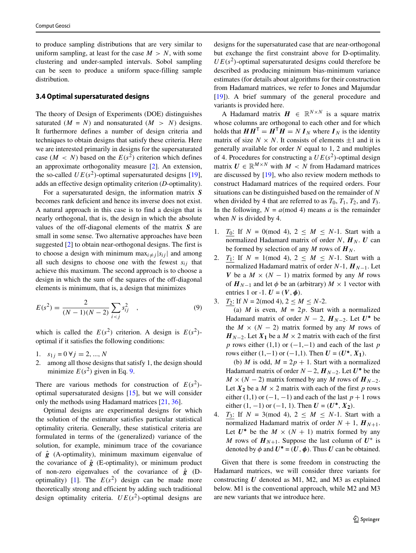to produce sampling distributions that are very similar to uniform sampling, at least for the case  $M > N$ , with some clustering and under-sampled intervals. Sobol sampling can be seen to produce a uniform space-filling sample distribution.

#### **3.4 Optimal supersaturated designs**

The theory of Design of Experiments (DOE) distinguishes saturated  $(M = N)$  and nonsaturated  $(M > N)$  designs. It furthermore defines a number of design criteria and techniques to obtain designs that satisfy these criteria. Here we are interested primarily in designs for the supersaturated case  $(M < N)$  based on the  $E(s^2)$  criterion which defines an approximate orthogonality measure [\[2\]](#page-11-20). An extension, the so-called  $UE(s^2)$ -optimal supersaturated designs [\[19\]](#page-11-21), adds an effective design optimality criterion (*D*-optimality).

For a supersaturated design, the information matrix *S* becomes rank deficient and hence its inverse does not exist. A natural approach in this case is to find a design that is nearly orthogonal, that is, the design in which the absolute values of the off-diagonal elements of the matrix *S* are small in some sense. Two alternative approaches have been suggested [\[2\]](#page-11-20) to obtain near-orthogonal designs. The first is to choose a design with minimum max $_{i \neq j} |s_{ij}|$  and among all such designs to choose one with the fewest  $s_{ij}$  that achieve this maximum. The second approach is to choose a design in which the sum of the squares of the off-diagonal elements is minimum, that is, a design that minimizes

$$
E(s^{2}) = \frac{2}{(N-1)(N-2)} \sum_{i < j} s_{ij}^{2} \quad , \tag{9}
$$

which is called the  $E(s^2)$  criterion. A design is  $E(s^2)$ optimal if it satisfies the following conditions:

- 1.  $s_{1j} = 0 \forall j = 2, ..., N$
- 2. among all those designs that satisfy 1, the design should minimize  $E(s^2)$  given in Eq. [9.](#page-4-0)

There are various methods for construction of  $E(s^2)$ optimal supersaturated designs [\[15\]](#page-11-22), but we will consider only the methods using Hadamard matrices [\[21,](#page-11-23) [36\]](#page-12-8).

Optimal designs are experimental designs for which the solution of the estimator satisfies particular statistical optimality criteria. Generally, these statistical criteria are formulated in terms of the (generalized) variance of the solution, for example, minimum trace of the covariance of *g*ˆ (A-optimality), minimum maximum eigenvalue of the covariance of  $\hat{g}$  (E-optimality), or minimum product of non-zero eigenvalues of the covariance of  $\hat{g}$  (D-optimality) [\[1\]](#page-11-24). The  $E(s^2)$  design can be made more theoretically strong and efficient by adding such traditional design optimality criteria.  $UE(s^2)$ -optimal designs are designs for the supersaturated case that are near-orthogonal but exchange the first constraint above for D-optimality.  $UE(s<sup>2</sup>)$ -optimal supersaturated designs could therefore be described as producing minimum bias-minimum variance estimates (for details about algorithms for their construction from Hadamard matrices, we refer to Jones and Majumdar [\[19\]](#page-11-21)). A brief summary of the general procedure and variants is provided here.

A Hadamard matrix  $H \in \mathbb{R}^{N \times N}$  is a square matrix whose columns are orthogonal to each other and for which holds that  $HH^{\mathsf{T}} = H^{\mathsf{T}}H = NI_N$  where  $I_N$  is the identity matrix of size  $N \times N$ . It consists of elements  $\pm 1$  and it is generally available for order *N* equal to 1, 2 and multiples of 4. Procedures for constructing a  $UE(s^2)$ -optimal design matrix  $U \in \mathbb{R}^{M \times N}$  with  $M < N$  from Hadamard matrices are discussed by [\[19\]](#page-11-21), who also review modern methods to construct Hadamard matrices of the required orders. Four situations can be distinguished based on the remainder of *N* when divided by 4 that are referred to as  $T_0$ ,  $T_1$ ,  $T_2$ , and  $T_3$ . In the following,  $N = a \pmod{4}$  means *a* is the remainder when *N* is divided by 4.

- 1. *T*<sub>0</sub>: If  $N = 0 \pmod{4}$ ,  $2 \le M \le N-1$ . Start with a normalized Hadamard matrix of order *N*,  $H_N$ . *U* can be formed by selection of any *M* rows of  $H_N$ .
- 2. *T*<sub>1</sub>: If  $N = 1 \pmod{4}$ ,  $2 \leq M \leq N-1$ . Start with a normalized Hadamard matrix of order  $N-1$ ,  $H_{N-1}$ . Let *V* be a  $M \times (N - 1)$  matrix formed by any *M* rows of  $H_{N-1}$  and let  $\phi$  be an (arbitrary)  $M \times 1$  vector with entries 1 or -1.  $U = (V, \phi)$ .

<span id="page-4-0"></span>3. 
$$
T_2
$$
: If  $N = 2 \pmod{4}$ ,  $2 \le M \le N-2$ .

(a) *M* is even,  $M = 2p$ . Start with a normalized Hadamard matrix of order  $N - 2$ ,  $H_{N-2}$ . Let  $U^*$  be the  $M \times (N - 2)$  matrix formed by any M rows of  $H_{N-2}$ . Let  $X_1$  be a  $M \times 2$  matrix with each of the first *p* rows either (1,1) or (−1,−1) and each of the last *p* rows either  $(1,-1)$  or  $(-1,1)$ . Then  $U = (U^*, X_1)$ .

(b) *M* is odd,  $M = 2p + 1$ . Start with a normalized Hadamard matrix of order  $N - 2$ ,  $H_{N-2}$ . Let  $U^*$  be the  $M \times (N - 2)$  matrix formed by any *M* rows of  $H_{N-2}$ . Let  $X_2$  be a  $M \times 2$  matrix with each of the first p rows either  $(1,1)$  or  $(-1,-1)$  and each of the last  $p + 1$  rows either  $(1, -1)$  or  $(-1, 1)$ . Then  $U = (U^*, X_2)$ .

4. *T*<sub>3</sub>: If  $N = 3 \pmod{4}$ ,  $2 \leq M \leq N-1$ . Start with a normalized Hadamard matrix of order  $N + 1$ ,  $H_{N+1}$ . Let  $U^*$  be the  $M \times (N + 1)$  matrix formed by any *M* rows of  $H_{N+1}$ . Suppose the last column of  $U^*$  is denoted by  $\phi$  and  $U^* = (U, \phi)$ . Thus *U* can be obtained.

Given that there is some freedom in constructing the Hadamard matrices, we will consider three variants for constructing *U* denoted as M1, M2, and M3 as explained below. M1 is the conventional approach, while M2 and M3 are new variants that we introduce here.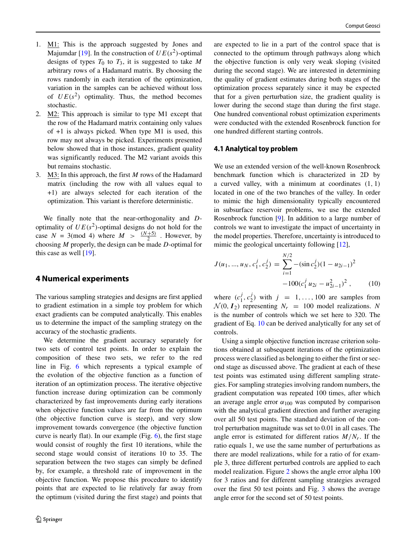- 1. M1: This is the approach suggested by Jones and Majumdar [\[19\]](#page-11-21). In the construction of  $UE(s^2)$ -optimal designs of types  $T_0$  to  $T_3$ , it is suggested to take *M* arbitrary rows of a Hadamard matrix. By choosing the rows randomly in each iteration of the optimization, variation in the samples can be achieved without loss of  $UE(s^2)$  optimality. Thus, the method becomes stochastic.
- 2. M2: This approach is similar to type M1 except that the row of the Hadamard matrix containing only values of +1 is always picked. When type M1 is used, this row may not always be picked. Experiments presented below showed that in those instances, gradient quality was significantly reduced. The M2 variant avoids this but remains stochastic.
- 3. M3: In this approach, the first *M* rows of the Hadamard matrix (including the row with all values equal to +1) are always selected for each iteration of the optimization. This variant is therefore deterministic.

We finally note that the near-orthogonality and *D*optimality of  $UE(s^2)$ -optimal designs do not hold for the case  $N = 3 \pmod{4}$  where  $M > \frac{(N+5)}{2}$ . However, by choosing *M* properly, the design can be made *D*-optimal for this case as well [\[19\]](#page-11-21).

## <span id="page-5-0"></span>**4 Numerical experiments**

The various sampling strategies and designs are first applied to gradient estimation in a simple toy problem for which exact gradients can be computed analytically. This enables us to determine the impact of the sampling strategy on the accuracy of the stochastic gradients.

We determine the gradient accuracy separately for two sets of control test points. In order to explain the composition of these two sets, we refer to the red line in Fig. [6](#page-7-0) which represents a typical example of the evolution of the objective function as a function of iteration of an optimization process. The iterative objective function increase during optimization can be commonly characterized by fast improvements during early iterations when objective function values are far from the optimum (the objective function curve is steep), and very slow improvement towards convergence (the objective function curve is nearly flat). In our example (Fig. [6\)](#page-7-0), the first stage would consist of roughly the first 10 iterations, while the second stage would consist of iterations 10 to 35. The separation between the two stages can simply be defined by, for example, a threshold rate of improvement in the objective function. We propose this procedure to identify points that are expected to lie relatively far away from the optimum (visited during the first stage) and points that are expected to lie in a part of the control space that is connected to the optimum through pathways along which the objective function is only very weak sloping (visited during the second stage). We are interested in determining the quality of gradient estimates during both stages of the optimization process separately since it may be expected that for a given perturbation size, the gradient quality is lower during the second stage than during the first stage. One hundred conventional robust optimization experiments were conducted with the extended Rosenbrock function for one hundred different starting controls.

## **4.1 Analytical toy problem**

We use an extended version of the well-known Rosenbrock benchmark function which is characterized in 2D by a curved valley, with a minimum at coordinates *(*1*,* 1*)* located in one of the two branches of the valley. In order to mimic the high dimensionality typically encountered in subsurface reservoir problems, we use the extended Rosenbrock function [\[9\]](#page-11-12). In addition to a large number of controls we want to investigate the impact of uncertainty in the model properties. Therefore, uncertainty is introduced to mimic the geological uncertainty following [\[12\]](#page-11-9),

<span id="page-5-1"></span>
$$
J(u_1, ..., u_N, c_1^j, c_2^j) = \sum_{i=1}^{N/2} -(\sin c_2^j)(1 - u_{2i-1})^2 -100(c_1^j u_{2i} - u_{2i-1}^2)^2, \qquad (10)
$$

where  $(c_1^j, c_2^j)$  with  $j = 1, ..., 100$  are samples from  $N(0, I_2)$  representing  $N_r = 100$  model realizations. N is the number of controls which we set here to 320. The gradient of Eq. [10](#page-5-1) can be derived analytically for any set of controls.

Using a simple objective function increase criterion solutions obtained at subsequent iterations of the optimization process were classified as belonging to either the first or second stage as discussed above. The gradient at each of these test points was estimated using different sampling strategies. For sampling strategies involving random numbers, the gradient computation was repeated 100 times, after which an average angle error  $\alpha_{100}$  was computed by comparison with the analytical gradient direction and further averaging over all 50 test points. The standard deviation of the control perturbation magnitude was set to 0.01 in all cases. The angle error is estimated for different ratios  $M/N_r$ . If the ratio equals 1, we use the same number of perturbations as there are model realizations, while for a ratio of for example 3, three different perturbed controls are applied to each model realization. Figure [2](#page-6-0) shows the angle error alpha 100 for 3 ratios and for different sampling strategies averaged over the first 50 test points and Fig. [3](#page-6-1) shows the average angle error for the second set of 50 test points.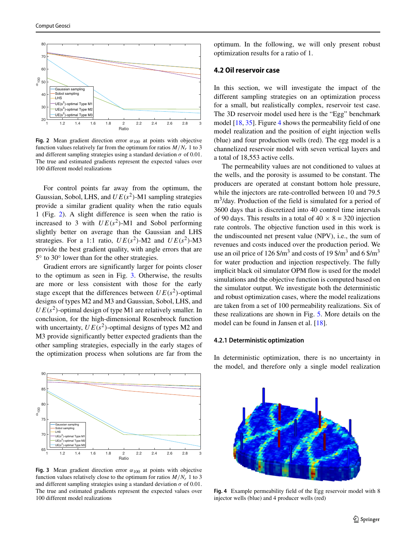<span id="page-6-0"></span>

**Fig. 2** Mean gradient direction error  $\alpha_{100}$  at points with objective function values relatively far from the optimum for ratios  $M/N_r$  1 to 3 and different sampling strategies using a standard deviation  $\sigma$  of 0.01. The true and estimated gradients represent the expected values over 100 different model realizations

For control points far away from the optimum, the Gaussian, Sobol, LHS, and  $UE(s^2)$ -M1 sampling strategies provide a similar gradient quality when the ratio equals 1 (Fig. [2\)](#page-6-0). A slight difference is seen when the ratio is increased to 3 with  $UE(s^2)$ -M1 and Sobol performing slightly better on average than the Gaussian and LHS strategies. For a 1:1 ratio,  $UE(s^2)$ -M2 and  $UE(s^2)$ -M3 provide the best gradient quality, with angle errors that are 5◦ to 30◦ lower than for the other strategies.

Gradient errors are significantly larger for points closer to the optimum as seen in Fig. [3.](#page-6-1) Otherwise, the results are more or less consistent with those for the early stage except that the differences between  $UE(s^2)$ -optimal designs of types M2 and M3 and Gaussian, Sobol, LHS, and  $UE(s<sup>2</sup>)$ -optimal design of type M1 are relatively smaller. In conclusion, for the high-dimensional Rosenbrock function with uncertainty,  $UE(s^2)$ -optimal designs of types M2 and M3 provide significantly better expected gradients than the other sampling strategies, especially in the early stages of the optimization process when solutions are far from the

<span id="page-6-1"></span>

**Fig. 3** Mean gradient direction error  $\alpha_{100}$  at points with objective function values relatively close to the optimum for ratios  $M/N_r$  1 to 3 and different sampling strategies using a standard deviation  $\sigma$  of 0.01. The true and estimated gradients represent the expected values over 100 different model realizations

optimum. In the following, we will only present robust optimization results for a ratio of 1.

## **4.2 Oil reservoir case**

In this section, we will investigate the impact of the different sampling strategies on an optimization process for a small, but realistically complex, reservoir test case. The 3D reservoir model used here is the "Egg" benchmark model [\[18,](#page-11-25) [35\]](#page-12-0). Figure [4](#page-6-2) shows the permeability field of one model realization and the position of eight injection wells (blue) and four production wells (red). The egg model is a channelized reservoir model with seven vertical layers and a total of 18,553 active cells.

The permeability values are not conditioned to values at the wells, and the porosity is assumed to be constant. The producers are operated at constant bottom hole pressure, while the injectors are rate-controlled between 10 and 79.5  $m<sup>3</sup>/day$ . Production of the field is simulated for a period of 3600 days that is discretized into 40 control time intervals of 90 days. This results in a total of  $40 \times 8 = 320$  injection rate controls. The objective function used in this work is the undiscounted net present value (NPV), i.e., the sum of revenues and costs induced over the production period. We use an oil price of 126  $\frac{25}{3}$  and costs of 19  $\frac{19}{3}$  and 6  $\frac{125}{3}$ for water production and injection respectively. The fully implicit black oil simulator OPM flow is used for the model simulations and the objective function is computed based on the simulator output. We investigate both the deterministic and robust optimization cases, where the model realizations are taken from a set of 100 permeability realizations. Six of these realizations are shown in Fig. [5.](#page-7-1) More details on the model can be found in Jansen et al. [\[18\]](#page-11-25).

#### **4.2.1 Deterministic optimization**

In deterministic optimization, there is no uncertainty in the model, and therefore only a single model realization

<span id="page-6-2"></span>

**Fig. 4** Example permeability field of the Egg reservoir model with 8 injector wells (blue) and 4 producer wells (red)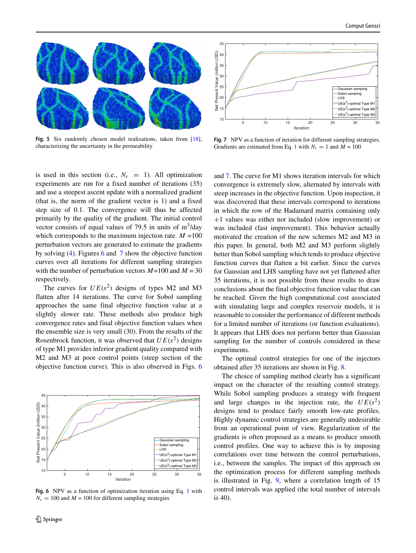<span id="page-7-1"></span>

**Fig. 5** Six randomly chosen model realizations, taken from [\[18\]](#page-11-25), characterizing the uncertainty in the permeability

is used in this section (i.e.,  $N_r = 1$ ). All optimization experiments are run for a fixed number of iterations (35) and use a steepest ascent update with a normalized gradient (that is, the norm of the gradient vector is 1) and a fixed step size of 0.1. The convergence will thus be affected primarily by the quality of the gradient. The initial control vector consists of equal values of 79.5 in units of  $m^3$ /day which corresponds to the maximum injection rate.  $M = 100$ perturbation vectors are generated to estimate the gradients by solving [\(4\)](#page-2-2). Figures [6](#page-7-0) and [7](#page-7-2) show the objective function curves over all iterations for different sampling strategies with the number of perturbation vectors *M*=100 and *M* = 30 respectively.

The curves for  $UE(s^2)$  designs of types M2 and M3 flatten after 14 iterations. The curve for Sobol sampling approaches the same final objective function value at a slightly slower rate. These methods also produce high convergence rates and final objective function values when the ensemble size is very small (30). From the results of the Rosenbrock function, it was observed that  $UE(s^2)$  designs of type M1 provides inferior gradient quality compared with M2 and M3 at poor control points (steep section of the objective function curve). This is also observed in Figs. [6](#page-7-0)

<span id="page-7-0"></span>

**Fig. 6** NPV as a function of optimization iteration using Eq. [1](#page-1-1) with  $N_r = 100$  and  $M = 100$  for different sampling strategies

<span id="page-7-2"></span>

Fig. 7 NPV as a function of iteration for different sampling strategies. Gradients are estimated from Eq. [1](#page-1-1) with  $N_r = 1$  and  $M = 100$ 

and [7.](#page-7-2) The curve for M1 shows iteration intervals for which convergence is extremely slow, alternated by intervals with steep increases in the objective function. Upon inspection, it was discovered that these intervals correspond to iterations in which the row of the Hadamard matrix containing only +1 values was either not included (slow improvement) or was included (fast improvement). This behavior actually motivated the creation of the new schemes M2 and M3 in this paper. In general, both M2 and M3 perform slightly better than Sobol sampling which tends to produce objective function curves that flatten a bit earlier. Since the curves for Gaussian and LHS sampling have not yet flattened after 35 iterations, it is not possible from these results to draw conclusions about the final objective function value that can be reached. Given the high computational cost associated with simulating large and complex reservoir models, it is reasonable to consider the performance of different methods for a limited number of iterations (or function evaluations). It appears that LHS does not perform better than Gaussian sampling for the number of controls considered in these experiments.

The optimal control strategies for one of the injectors obtained after 35 iterations are shown in Fig. [8.](#page-8-0)

The choice of sampling method clearly has a significant impact on the character of the resulting control strategy. While Sobol sampling produces a strategy with frequent and large changes in the injection rate, the  $UE(s^2)$ designs tend to produce fairly smooth low-rate profiles. Highly dynamic control strategies are generally undesirable from an operational point of view. Regularization of the gradients is often proposed as a means to produce smooth control profiles. One way to achieve this is by imposing correlations over time between the control perturbations, i.e., between the samples. The impact of this approach on the optimization process for different sampling methods is illustrated in Fig. [9,](#page-8-1) where a correlation length of 15 control intervals was applied (the total number of intervals is 40).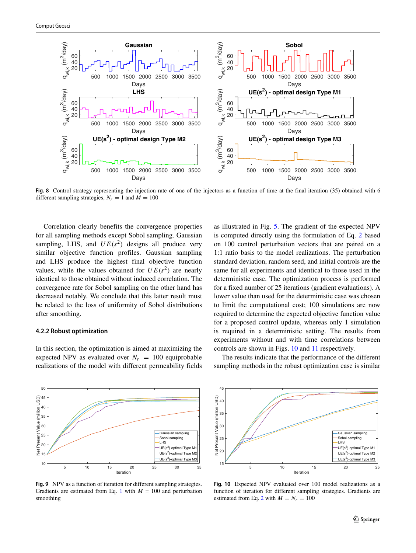<span id="page-8-0"></span>

**Fig. 8** Control strategy representing the injection rate of one of the injectors as a function of time at the final iteration (35) obtained with 6 different sampling strategies,  $N_r = 1$  and  $M = 100$ 

Correlation clearly benefits the convergence properties for all sampling methods except Sobol sampling. Gaussian sampling, LHS, and  $UE(s^2)$  designs all produce very similar objective function profiles. Gaussian sampling and LHS produce the highest final objective function values, while the values obtained for  $UE(s^2)$  are nearly identical to those obtained without induced correlation. The convergence rate for Sobol sampling on the other hand has decreased notably. We conclude that this latter result must be related to the loss of uniformity of Sobol distributions after smoothing.

#### **4.2.2 Robust optimization**

In this section, the optimization is aimed at maximizing the expected NPV as evaluated over  $N_r = 100$  equiprobable realizations of the model with different permeability fields

as illustrated in Fig. [5.](#page-7-1) The gradient of the expected NPV is computed directly using the formulation of Eq. [2](#page-2-1) based on 100 control perturbation vectors that are paired on a 1:1 ratio basis to the model realizations. The perturbation standard deviation, random seed, and initial controls are the same for all experiments and identical to those used in the deterministic case. The optimization process is performed for a fixed number of 25 iterations (gradient evaluations). A lower value than used for the deterministic case was chosen to limit the computational cost; 100 simulations are now required to determine the expected objective function value for a proposed control update, whereas only 1 simulation is required in a deterministic setting. The results from experiments without and with time correlations between controls are shown in Figs. [10](#page-8-2) and [11](#page-9-0) respectively.

The results indicate that the performance of the different sampling methods in the robust optimization case is similar

<span id="page-8-1"></span>

Fig. 9 NPV as a function of iteration for different sampling strategies. Gradients are estimated from Eq. [1](#page-1-1) with  $M = 100$  and perturbation smoothing

<span id="page-8-2"></span>

**Fig. 10** Expected NPV evaluated over 100 model realizations as a function of iteration for different sampling strategies. Gradients are estimated from Eq. [2](#page-2-1) with  $M = N_r = 100$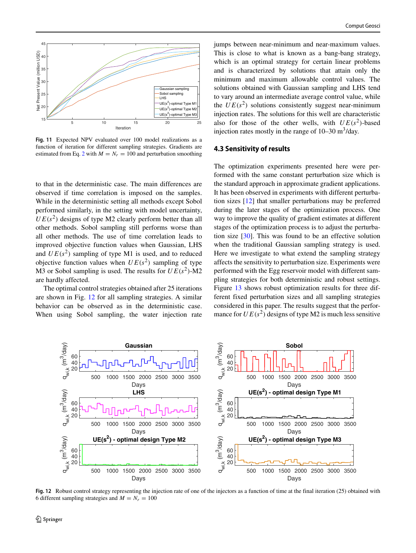<span id="page-9-0"></span>

**Fig. 11** Expected NPV evaluated over 100 model realizations as a function of iteration for different sampling strategies. Gradients are estimated from Eq. [2](#page-2-1) with  $M = N_r = 100$  and perturbation smoothing

to that in the deterministic case. The main differences are observed if time correlation is imposed on the samples. While in the deterministic setting all methods except Sobol performed similarly, in the setting with model uncertainty,  $UE(s^2)$  designs of type M2 clearly perform better than all other methods. Sobol sampling still performs worse than all other methods. The use of time correlation leads to improved objective function values when Gaussian, LHS and  $UE(s^2)$  sampling of type M1 is used, and to reduced objective function values when  $UE(s^2)$  sampling of type M3 or Sobol sampling is used. The results for  $UE(s^2)$ -M2 are hardly affected.

The optimal control strategies obtained after 25 iterations are shown in Fig. [12](#page-9-1) for all sampling strategies. A similar behavior can be observed as in the deterministic case. When using Sobol sampling, the water injection rate jumps between near-minimum and near-maximum values. This is close to what is known as a bang-bang strategy, which is an optimal strategy for certain linear problems and is characterized by solutions that attain only the minimum and maximum allowable control values. The solutions obtained with Gaussian sampling and LHS tend to vary around an intermediate average control value, while the  $UE(s^2)$  solutions consistently suggest near-minimum injection rates. The solutions for this well are characteristic also for those of the other wells, with  $UE(s^2)$ -based injection rates mostly in the range of  $10-30$  m<sup>3</sup>/day.

## **4.3 Sensitivity of results**

The optimization experiments presented here were performed with the same constant perturbation size which is the standard approach in approximate gradient applications. It has been observed in experiments with different perturbation sizes [\[12\]](#page-11-9) that smaller perturbations may be preferred during the later stages of the optimization process. One way to improve the quality of gradient estimates at different stages of the optimization process is to adjust the perturbation size [\[30\]](#page-12-9). This was found to be an effective solution when the traditional Gaussian sampling strategy is used. Here we investigate to what extend the sampling strategy affects the sensitivity to perturbation size. Experiments were performed with the Egg reservoir model with different sampling strategies for both deterministic and robust settings. Figure [13](#page-10-0) shows robust optimization results for three different fixed perturbation sizes and all sampling strategies considered in this paper. The results suggest that the performance for  $UE(s^2)$  designs of type M2 is much less sensitive

<span id="page-9-1"></span>

**Fig. 12** Robust control strategy representing the injection rate of one of the injectors as a function of time at the final iteration (25) obtained with 6 different sampling strategies and  $M = N_r = 100$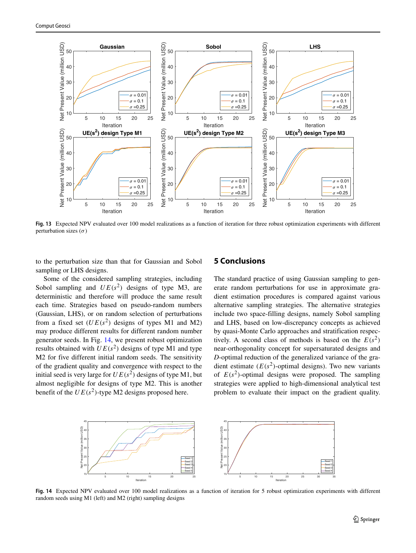<span id="page-10-0"></span>

**Fig. 13** Expected NPV evaluated over 100 model realizations as a function of iteration for three robust optimization experiments with different perturbation sizes (*σ*)

to the perturbation size than that for Gaussian and Sobol sampling or LHS designs.

## **5 Conclusions**

Some of the considered sampling strategies, including Sobol sampling and  $UE(s^2)$  designs of type M3, are deterministic and therefore will produce the same result each time. Strategies based on pseudo-random numbers (Gaussian, LHS), or on random selection of perturbations from a fixed set  $(UE(s^2)$  designs of types M1 and M2) may produce different results for different random number generator seeds. In Fig. [14,](#page-10-1) we present robust optimization results obtained with  $UE(s^2)$  designs of type M1 and type M2 for five different initial random seeds. The sensitivity of the gradient quality and convergence with respect to the initial seed is very large for  $UE(s^2)$  designs of type M1, but almost negligible for designs of type M2. This is another benefit of the  $UE(s^2)$ -type M2 designs proposed here.

The standard practice of using Gaussian sampling to generate random perturbations for use in approximate gradient estimation procedures is compared against various alternative sampling strategies. The alternative strategies include two space-filling designs, namely Sobol sampling and LHS, based on low-discrepancy concepts as achieved by quasi-Monte Carlo approaches and stratification respectively. A second class of methods is based on the  $E(s^2)$ near-orthogonality concept for supersaturated designs and *D*-optimal reduction of the generalized variance of the gradient estimate  $(E(s^2))$ -optimal designs). Two new variants of  $E(s^2)$ -optimal designs were proposed. The sampling strategies were applied to high-dimensional analytical test problem to evaluate their impact on the gradient quality.

<span id="page-10-1"></span>

**Fig. 14** Expected NPV evaluated over 100 model realizations as a function of iteration for 5 robust optimization experiments with different random seeds using M1 (left) and M2 (right) sampling designs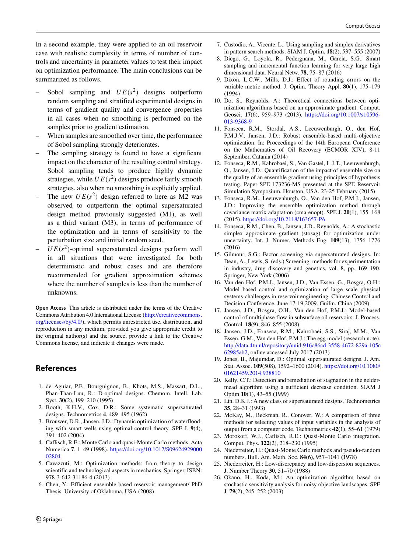In a second example, they were applied to an oil reservoir case with realistic complexity in terms of number of controls and uncertainty in parameter values to test their impact on optimization performance. The main conclusions can be summarized as follows.

- Sobol sampling and  $UE(s^2)$  designs outperform random sampling and stratified experimental designs in terms of gradient quality and convergence properties in all cases when no smoothing is performed on the samples prior to gradient estimation.
- When samples are smoothed over time, the performance of Sobol sampling strongly deteriorates.
- The sampling strategy is found to have a significant impact on the character of the resulting control strategy. Sobol sampling tends to produce highly dynamic strategies, while  $UE(s^2)$  designs produce fairly smooth strategies, also when no smoothing is explicitly applied.
- The new  $UE(s^2)$  design referred to here as M2 was observed to outperform the optimal supersaturated design method previously suggested (M1), as well as a third variant (M3), in terms of performance of the optimization and in terms of sensitivity to the perturbation size and initial random seed.
- $UE(s^2)$ -optimal supersaturated designs perform well in all situations that were investigated for both deterministic and robust cases and are therefore recommended for gradient approximation schemes where the number of samples is less than the number of unknowns.

**Open Access** This article is distributed under the terms of the Creative Commons Attribution 4.0 International License [\(http://creativecommons.](http://creativecommons.org/licenses/by/4.0/) [org/licenses/by/4.0/\)](http://creativecommons.org/licenses/by/4.0/), which permits unrestricted use, distribution, and reproduction in any medium, provided you give appropriate credit to the original author(s) and the source, provide a link to the Creative Commons license, and indicate if changes were made.

# **References**

- <span id="page-11-24"></span>1. de Aguiar, P.F., Bourguignon, B., Khots, M.S., Massart, D.L., Phan-Than-Luu, R.: D-optimal designs. Chemom. Intell. Lab. Syst. **30**(2), 199–210 (1995)
- <span id="page-11-20"></span>2. Booth, K.H.V., Cox, D.R.: Some systematic supersaturated designs. Technometrics **4**, 489–495 (1962)
- <span id="page-11-0"></span>3. Brouwer, D.R., Jansen, J.D.: Dynamic optimization of waterflooding with smart wells using optimal control theory. SPE J. **9**(4), 391–402 (2004)
- <span id="page-11-14"></span>4. Caflisch, R.E.: Monte Carlo and quasi-Monte Carlo methods. Acta Numerica **7**, 1–49 (1998). [https://doi.org/10.1017/S09624929000](https://doi.org/10.1017/S0962492900002804) [02804](https://doi.org/10.1017/S0962492900002804)
- <span id="page-11-17"></span>5. Cavazzuti, M.: Optimization methods: from theory to design scientific and technological aspects in mechanics. Springer, ISBN: 978-3-642-31186-4 (2013)
- <span id="page-11-5"></span>6. Chen, Y.: Efficient ensemble based reservoir management/ PhD Thesis. University of Oklahoma, USA (2008)
- <span id="page-11-3"></span>7. Custodio, A., Vicente, L.: Using sampling and simplex derivatives in pattern search methods. SIAM J. Optim. **18**(2), 537–555 (2007)
- <span id="page-11-19"></span>8. Diego, G., Loyola, R., Pedergnana, M., Garcia, S.G.: Smart sampling and incremental function learning for very large high dimensional data. Neural Netw. **78**, 75–87 (2016)
- <span id="page-11-12"></span>9. Dixon, L.C.W., Mills, D.J.: Effect of rounding errors on the variable metric method. J. Optim. Theory Appl. **80**(1), 175–179 (1994)
- <span id="page-11-6"></span>10. Do, S., Reynolds, A.: Theoretical connections between optimization algorithms based on an approximate gradient. Comput. Geosci. **17**(6), 959–973 (2013). [https://doi.org/10.1007/s10596-](https://doi.org/10.1007/s10596-013-9368-9) [013-9368-9](https://doi.org/10.1007/s10596-013-9368-9)
- <span id="page-11-7"></span>11. Fonseca, R.M., Stordal, A.S., Leeuwenburgh, O., den Hof, P.M.J.V., Jansen, J.D.: Robust ensemble-based multi-objective optimization. In: Proceedings of the 14th European Conference on the Mathematics of Oil Recovery (ECMOR XIV), 8-11 September, Catania (2014)
- <span id="page-11-9"></span>12. Fonseca, R.M., Kahrobaei, S., Van Gastel, L.J.T., Leeuwenburgh, O., Jansen, J.D.: Quantification of the impact of ensemble size on the quality of an ensemble gradient using principles of hypothesis testing. Paper SPE 173236-MS presented at the SPE Reservoir Simulation Symposium, Houston, USA, 23-25 February (2015)
- <span id="page-11-10"></span>13. Fonseca, R.M., Leeuwenburgh, O., Van den Hof, P.M.J., Jansen, J.D.: Improving the ensemble optimization method through covariance matrix adaptation (cma-enopt). SPE J. **20**(1), 155–168 (2015). <https://doi.org/10.2118/163657-PA>
- <span id="page-11-8"></span>14. Fonseca, R.M., Chen, B., Jansen, J.D., Reynolds, A.: A stochastic simplex approximate gradient (stosag) for optimization under uncertainty. Int. J. Numer. Methods Eng. **109**(13), 1756–1776 (2016)
- <span id="page-11-22"></span>15. Gilmour, S.G.: Factor screening via supersaturated designs. In: Dean, A., Lewis, S. (eds.) Screening: methods for experimentation in industry, drug discovery and genetics, vol. 8, pp. 169–190. Springer, New York (2006)
- <span id="page-11-1"></span>16. Van den Hof, P.M.J., Jansen, J.D., Van Essen, G., Bosgra, O.H.: Model based control and optimization of large scale physical systems-challenges in reservoir engineering. Chinese Control and Decision Conference, June 17-19 2009. Guilin, China (2009)
- <span id="page-11-2"></span>17. Jansen, J.D., Bosgra, O.H., Van den Hof, P.M.J.: Model-based control of multiphase flow in subsurface oil reservoirs. J. Process. Control. **18**(9), 846–855 (2008)
- <span id="page-11-25"></span>18. Jansen, J.D., Fonseca, R.M., Kahrobaei, S.S., Siraj, M.M., Van Essen, G.M., Van den Hof, P.M.J.: The egg model (research note). [http://data.4tu.nl/repository/uuid:916c86cd-3558-4672-829a-105c](http://data.4tu.nl/repository/uuid:916c86cd-3558-4672-829a-105c62985ab2) [62985ab2,](http://data.4tu.nl/repository/uuid:916c86cd-3558-4672-829a-105c62985ab2) online accessed July 2017 (2013)
- <span id="page-11-21"></span>19. Jones, B., Majumdar, D.: Optimal supersaturated designs. J. Am. Stat. Assoc. **109**(508), 1592–1600 (2014). [https://doi.org/10.1080/](https://doi.org/10.1080/01621459.2014.938810) [01621459.2014.938810](https://doi.org/10.1080/01621459.2014.938810)
- <span id="page-11-13"></span>20. Kelly, C.T.: Detection and remediation of stagnation in the neldermead algorithm using a sufficient decrease condition. SIAM J Optim **10**(1), 43–55 (1999)
- <span id="page-11-23"></span>21. Lin, D.K.J.: A new class of supersaturated designs. Technometrics **35**, 28–31 (1993)
- <span id="page-11-18"></span>22. McKay, M., Beckman, R., Conover, W.: A comparison of three methods for selecting values of input variables in the analysis of output from a computer code. Technometrics **42**(1), 55–61 (1979)
- <span id="page-11-15"></span>23. Morokoff, W.J., Caflisch, R.E.: Quasi-Monte Carlo integration. Comput. Phys. **122**(2), 218–230 (1995)
- <span id="page-11-16"></span>24. Niederreiter, H.: Quasi-Monte Carlo methods and pseudo-random numbers. Bull. Am. Math. Soc. **84**(6), 957–1041 (1978)
- <span id="page-11-11"></span>25. Niederreiter, H.: Low-discrepancy and low-dispersion sequences. J. Number Theory **30**, 51–70 (1988)
- <span id="page-11-4"></span>26. Okano, H., Koda, M.: An optimization algorithm based on stochastic sensitivity analysis for noisy objective landscapes. SPE J. **79**(2), 245–252 (2003)